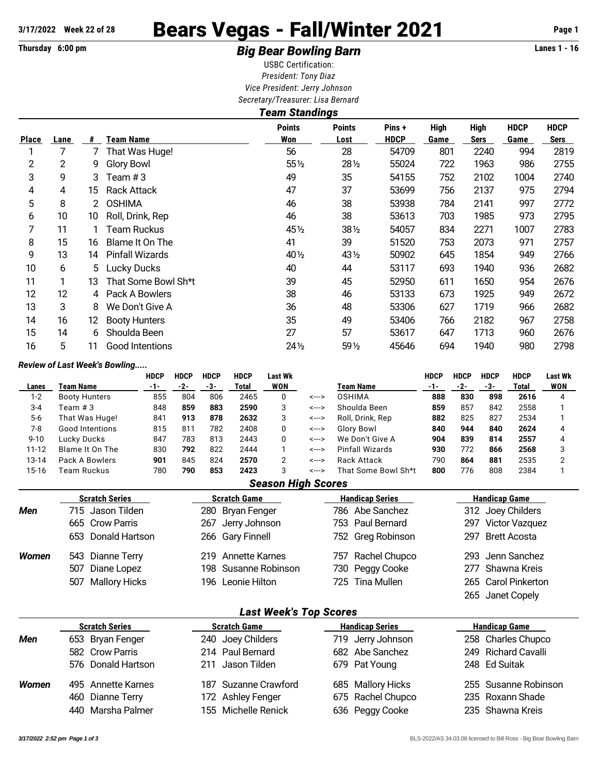# 3/17/2022 Week 22 of 28 **Bears Vegas - Fall/Winter 2021** Page 1

## Thursday 6:00 pm *Big Bear Bowling Barn* **Lanes 1 - 16**

USBC Certification: *President: Tony Diaz Vice President: Jerry Johnson Secretary/Treasurer: Lisa Bernard*

|                | <b>Team Standings</b> |    |                        |                      |                       |                       |                     |                     |                     |                            |  |
|----------------|-----------------------|----|------------------------|----------------------|-----------------------|-----------------------|---------------------|---------------------|---------------------|----------------------------|--|
| <b>Place</b>   | Lane                  | #  | <b>Team Name</b>       | <b>Points</b><br>Won | <b>Points</b><br>Lost | Pins +<br><b>HDCP</b> | <b>High</b><br>Game | <b>High</b><br>Sers | <b>HDCP</b><br>Game | <b>HDCP</b><br><b>Sers</b> |  |
|                |                       | 7  | That Was Huge!         | 56                   | 28                    | 54709                 | 801                 | 2240                | 994                 | 2819                       |  |
| $\overline{2}$ | 2                     | 9  | <b>Glory Bowl</b>      | 55 1/2               | 28 1/2                | 55024                 | 722                 | 1963                | 986                 | 2755                       |  |
| 3              | 9                     | 3  | Team #3                | 49                   | 35                    | 54155                 | 752                 | 2102                | 1004                | 2740                       |  |
| 4              | 4                     | 15 | <b>Rack Attack</b>     | 47                   | 37                    | 53699                 | 756                 | 2137                | 975                 | 2794                       |  |
| 5              | 8                     | 2  | <b>OSHIMA</b>          | 46                   | 38                    | 53938                 | 784                 | 2141                | 997                 | 2772                       |  |
| 6              | 10                    | 10 | Roll, Drink, Rep       | 46                   | 38                    | 53613                 | 703                 | 1985                | 973                 | 2795                       |  |
| 7              | 11                    |    | Team Ruckus            | 45 $\frac{1}{2}$     | 381/2                 | 54057                 | 834                 | 2271                | 1007                | 2783                       |  |
| 8              | 15                    | 16 | Blame It On The        | 41                   | 39                    | 51520                 | 753                 | 2073                | 971                 | 2757                       |  |
| 9              | 13                    | 14 | <b>Pinfall Wizards</b> | 40 $\frac{1}{2}$     | 43 1/2                | 50902                 | 645                 | 1854                | 949                 | 2766                       |  |
| 10             | 6                     | 5. | Lucky Ducks            | 40                   | 44                    | 53117                 | 693                 | 1940                | 936                 | 2682                       |  |
| 11             |                       | 13 | That Some Bowl Sh*t    | 39                   | 45                    | 52950                 | 611                 | 1650                | 954                 | 2676                       |  |
| 12             | 12                    | 4  | Pack A Bowlers         | 38                   | 46                    | 53133                 | 673                 | 1925                | 949                 | 2672                       |  |
| 13             | 3                     | 8  | We Don't Give A        | 36                   | 48                    | 53306                 | 627                 | 1719                | 966                 | 2682                       |  |
| 14             | 16                    | 12 | <b>Booty Hunters</b>   | 35                   | 49                    | 53406                 | 766                 | 2182                | 967                 | 2758                       |  |
| 15             | 14                    | 6  | Shoulda Been           | 27                   | 57                    | 53617                 | 647                 | 1713                | 960                 | 2676                       |  |
| 16             | 5                     | 11 | Good Intentions        | 24 1/2               | 59 1/2                | 45646                 | 694                 | 1940                | 980                 | 2798                       |  |

#### *Review of Last Week's Bowling.....*

|           |                      | <b>HDCP</b> | <b>HDCP</b> | <b>HDCP</b> | <b>HDCP</b> | Last Wk    |       |                     | <b>HDCP</b> | HDCP | <b>HDCP</b> | <b>HDCP</b> | <b>Last Wk</b> |
|-----------|----------------------|-------------|-------------|-------------|-------------|------------|-------|---------------------|-------------|------|-------------|-------------|----------------|
| Lanes     | Team Name            | -1-         | -2-         | -3-         | Total       | <b>WON</b> |       | Team Name           | $-1-$       | -2-  | -3-         | Total       | <b>WON</b>     |
| $1 - 2$   | <b>Booty Hunters</b> | 855         | 804         | 806         | 2465        |            | <---> | <b>OSHIMA</b>       | 888         | 830  | 898         | 2616        |                |
| $3 - 4$   | Team # 3             | 848         | 859         | 883         | 2590        | 3          | <---> | Shoulda Been        | 859         | 857  | 842         | 2558        |                |
| $5-6$     | That Was Huge!       | 841         | 913         | 878         | 2632        | 3          | <---> | Roll, Drink, Rep.   | 882         | 825  | 827         | 2534        |                |
| 7-8       | Good Intentions      | 815         | $81^\circ$  | 782         | 2408        |            | <---> | Glory Bowl          | 840         | 944  | 840         | 2624        |                |
| $9 - 10$  | Lucky Ducks          | 847         | 783         | 813         | 2443        |            | <---> | We Don't Give A     | 904         | 839  | 814         | 2557        |                |
| $11 - 12$ | Blame It On The      | 830         | 792         | 822         | 2444        |            | <---> | Pinfall Wizards     | 930         | 772  | 866         | 2568        |                |
| 13-14     | Pack A Bowlers       | 901         | 845         | 824         | 2570        |            | <---> | Rack Attack         | 790         | 864  | 881         | 2535        |                |
| 15-16     | Team Ruckus          | 780         | 790         | 853         | 2423        |            | <---> | That Some Bowl Sh*t | 800         | 776  | 808         | 2384        |                |

#### *Season High Scores*

|       | <b>Scratch Series</b> | <b>Scratch Game</b>  | <b>Handicap Series</b> | <b>Handicap Game</b> |
|-------|-----------------------|----------------------|------------------------|----------------------|
| Men   | 715 Jason Tilden      | 280 Bryan Fenger     | 786 Abe Sanchez        | 312 Joey Childers    |
|       | 665 Crow Parris       | 267 Jerry Johnson    | 753 Paul Bernard       | 297 Victor Vazquez   |
|       | 653 Donald Hartson    | 266 Gary Finnell     | 752 Greg Robinson      | 297 Brett Acosta     |
| Women | 543 Dianne Terry      | 219 Annette Karnes   | 757 Rachel Chupco      | 293 Jenn Sanchez     |
|       | 507 Diane Lopez       | 198 Susanne Robinson | 730 Peggy Cooke        | 277 Shawna Kreis     |
|       | 507 Mallory Hicks     | 196 Leonie Hilton    | 725 Tina Mullen        | 265 Carol Pinkerton  |
|       |                       |                      |                        | 265 Janet Copely     |

#### *Last Week's Top Scores*

| <b>Scratch Series</b> | <b>Scratch Game</b>  | <b>Handicap Series</b> | <b>Handicap Game</b> |  |  |  |  |  |  |  |  |
|-----------------------|----------------------|------------------------|----------------------|--|--|--|--|--|--|--|--|
| 653 Bryan Fenger      | 240 Joey Childers    | 719 Jerry Johnson      | 258 Charles Chupco   |  |  |  |  |  |  |  |  |
| 582 Crow Parris       | 214 Paul Bernard     | 682 Abe Sanchez        | 249 Richard Cavalli  |  |  |  |  |  |  |  |  |
| 576 Donald Hartson    | 211 Jason Tilden     | 679 Pat Young          | 248 Ed Suitak        |  |  |  |  |  |  |  |  |
| 495 Annette Karnes    | 187 Suzanne Crawford | 685 Mallory Hicks      | 255 Susanne Robinson |  |  |  |  |  |  |  |  |
| 460 Dianne Terry      | 172 Ashley Fenger    | 675 Rachel Chupco      | 235 Roxann Shade     |  |  |  |  |  |  |  |  |
| 440 Marsha Palmer     | 155 Michelle Renick  | 636 Peggy Cooke        | 235 Shawna Kreis     |  |  |  |  |  |  |  |  |
|                       |                      |                        |                      |  |  |  |  |  |  |  |  |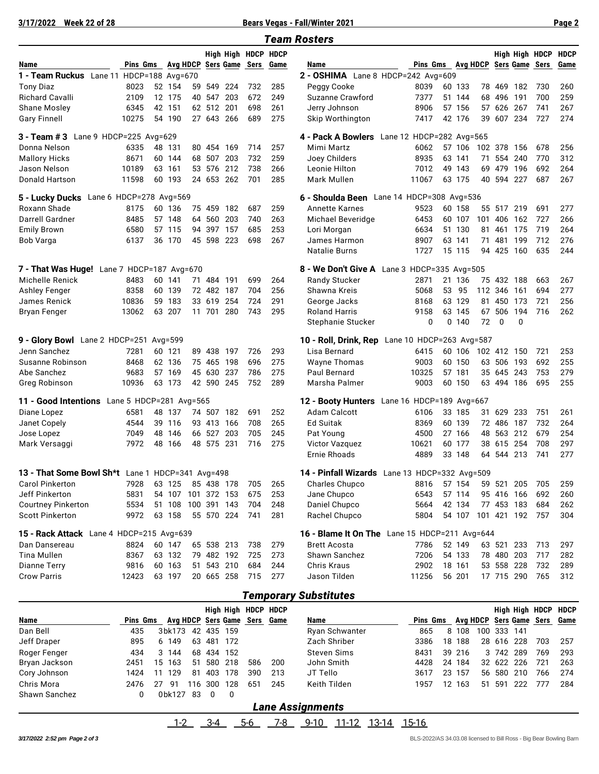**3/17/2022 Week 22 of 28 Bears Vegas - Fall/Winter 2021 Page 2**

| <b>Team Rosters</b>                                                                       |          |    |                    |    |            |            |                     |                                    |                                                |                          |    |        |    |             |             |                |             |
|-------------------------------------------------------------------------------------------|----------|----|--------------------|----|------------|------------|---------------------|------------------------------------|------------------------------------------------|--------------------------|----|--------|----|-------------|-------------|----------------|-------------|
|                                                                                           |          |    |                    |    |            |            | High High HDCP HDCP |                                    |                                                |                          |    |        |    |             |             | High High HDCP | <b>HDCP</b> |
| Name                                                                                      | Pins Gms |    |                    |    |            |            |                     | Avg HDCP Sers Game Sers Game       | Name                                           | Pins Gms Avg HDCP        |    |        |    |             |             | Sers Game Sers | Game        |
| 1 - Team Ruckus Lane 11 HDCP=188 Avg=670                                                  |          |    |                    |    |            |            |                     | 2 - OSHIMA Lane 8 HDCP=242 Avg=609 |                                                |                          |    |        |    |             |             |                |             |
| <b>Tony Diaz</b>                                                                          | 8023     |    | 52 154             | 59 | 549        | 224        | 732                 | 285                                | Peggy Cooke                                    | 8039                     |    | 60 133 |    | 78 469      | 182         | 730            | 260         |
| <b>Richard Cavalli</b>                                                                    | 2109     |    | 12 175             |    | 40 547     | 203        | 672                 | 249                                | Suzanne Crawford                               | 7377                     |    | 51 144 |    | 68 496      | 191         | 700            | 259         |
| Shane Mosley                                                                              | 6345     |    | 42 151             |    | 62 512 201 |            | 698                 | 261                                | Jerry Johnson                                  | 8906                     |    | 57 156 |    | 57 626      | 267         | 741            | 267         |
| <b>Gary Finnell</b>                                                                       | 10275    |    | 54 190             |    | 27 643 266 |            | 689                 | 275                                | Skip Worthington                               | 7417                     |    | 42 176 | 39 | 607 234     |             | 727            | 274         |
| $3 - Team #3$<br>Lane 9 HDCP=225 Avg=629                                                  |          |    |                    |    |            |            |                     |                                    | 4 - Pack A Bowlers                             | Lane 12 HDCP=282 Avg=565 |    |        |    |             |             |                |             |
| Donna Nelson                                                                              | 6335     |    | 48 131             |    | 80 454     | 169        | 714                 | 257                                | Mimi Martz                                     | 6062                     |    | 57 106 |    | 102 378     | 156         | 678            | 256         |
| <b>Mallory Hicks</b>                                                                      | 8671     |    | 60 144             |    |            | 68 507 203 | 732                 | 259                                | Joey Childers                                  | 8935                     |    | 63 141 | 71 |             | 554 240     | 770            | 312         |
| Jason Nelson                                                                              | 10189    |    | 63 161             |    | 53 576     | 212        | 738                 | 266                                | Leonie Hilton                                  | 7012                     | 49 | 143    | 69 | 479         | 196         | 692            | 264         |
| Donald Hartson                                                                            | 11598    |    | 60 193             |    |            | 24 653 262 | 701                 | 285                                | Mark Mullen                                    | 11067                    |    | 63 175 |    | 40 594 227  |             | 687            | 267         |
| 5 - Lucky Ducks Lane 6 HDCP=278 Avg=569<br>6 - Shoulda Been Lane 14 HDCP=308 Avg=536      |          |    |                    |    |            |            |                     |                                    |                                                |                          |    |        |    |             |             |                |             |
| Roxann Shade                                                                              | 8175     |    | 60 136             |    |            | 75 459 182 | 687                 | 259                                | <b>Annette Karnes</b>                          | 9523                     |    | 60 158 |    | 55 517 219  |             | 691            | 277         |
| Darrell Gardner                                                                           | 8485     |    | 57 148             |    | 64 560 203 |            | 740                 | 263                                | Michael Beveridge                              | 6453                     |    | 60 107 |    | 101 406     | 162         | 727            | 266         |
| <b>Emily Brown</b>                                                                        | 6580     |    | 57 115             |    | 94 397 157 |            | 685                 | 253                                | Lori Morgan                                    | 6634                     |    | 51 130 | 81 | 461         | 175         | 719            | 264         |
| Bob Varga                                                                                 | 6137     |    | 36 170             |    | 45 598 223 |            | 698                 | 267                                | James Harmon                                   | 8907                     |    | 63 141 | 71 | 481         | 199         | 712            | 276         |
|                                                                                           |          |    |                    |    |            |            |                     |                                    | <b>Natalie Burns</b>                           | 1727                     |    | 15 115 |    | 94 425 160  |             | 635            | 244         |
| 7 - That Was Huge! Lane 7 HDCP=187 Avg=670<br>8 - We Don't Give A Lane 3 HDCP=335 Avg=505 |          |    |                    |    |            |            |                     |                                    |                                                |                          |    |        |    |             |             |                |             |
| Michelle Renick                                                                           | 8483     |    | 60 141             |    | 71 484 191 |            | 699                 | 264                                | <b>Randy Stucker</b>                           | 2871                     |    | 21 136 |    | 75 432 188  |             | 663            | 267         |
| <b>Ashley Fenger</b>                                                                      | 8358     |    | 60 139             |    | 72 482 187 |            | 704                 | 256                                | Shawna Kreis                                   | 5068                     |    | 53 95  |    | 112 346     | 161         | 694            | 277         |
| James Renick                                                                              | 10836    | 59 | 183                |    | 33 619     | 254        | 724                 | 291                                | George Jacks                                   | 8168                     |    | 63 129 |    | 81 450 173  |             | 721            | 256         |
| <b>Bryan Fenger</b>                                                                       | 13062    |    | 63 207             |    | 11 701     | 280        | 743                 | 295                                | <b>Roland Harris</b>                           | 9158                     | 63 | 145    |    | 67 506      | 194         | 716            | 262         |
|                                                                                           |          |    |                    |    |            |            |                     |                                    | Stephanie Stucker                              | 0                        | 0  | 140    | 72 | 0           | $\Omega$    |                |             |
| 9 - Glory Bowl Lane 2 HDCP=251 Avg=599                                                    |          |    |                    |    |            |            |                     |                                    | 10 - Roll, Drink, Rep Lane 10 HDCP=263 Avg=587 |                          |    |        |    |             |             |                |             |
| Jenn Sanchez                                                                              | 7281     |    | 60 121             |    |            | 89 438 197 | 726                 | 293                                | Lisa Bernard                                   | 6415                     |    | 60 106 |    | 102 412 150 |             | 721            | 253         |
| Susanne Robinson                                                                          | 8468     |    | 62 136             |    | 75 465     | 198        | 696                 | 275                                | <b>Wayne Thomas</b>                            | 9003                     |    | 60 150 | 63 | 506         | 193         | 692            | 255         |
| Abe Sanchez                                                                               | 9683     |    | 57 169             |    | 45 630 237 |            | 786                 | 275                                | <b>Paul Bernard</b>                            | 10325                    |    | 57 181 |    | 35 645 243  |             | 753            | 279         |
| Greg Robinson                                                                             | 10936    |    | 63 173             |    |            | 42 590 245 | 752                 | 289                                | Marsha Palmer                                  | 9003                     |    | 60 150 |    | 63 494 186  |             | 695            | 255         |
| 11 - Good Intentions Lane 5 HDCP=281 Avg=565                                              |          |    |                    |    |            |            |                     |                                    | 12 - Booty Hunters Lane 16 HDCP=189 Avg=667    |                          |    |        |    |             |             |                |             |
| Diane Lopez                                                                               | 6581     |    | 48 137             |    |            | 74 507 182 | 691                 | 252                                | Adam Calcott                                   | 6106                     |    | 33 185 |    | 31 629      | 233         | 751            | 261         |
| Janet Copely                                                                              | 4544     |    | 39 116             |    | 93 413     | 166        | 708                 | 265                                | Ed Suitak                                      | 8369                     |    | 60 139 |    | 72 486      | 187         | 732            | 264         |
| Jose Lopez                                                                                | 7049     | 48 | 146                |    | 66 527     | 203        | 705                 | 245                                | Pat Young                                      | 4500                     | 27 | 166    |    | 48 563      | 212         | 679            | 254         |
| Mark Versaggi                                                                             | 7972     | 48 | 166                |    | 48 575     | 231        | 716                 | 275                                | Victor Vazquez                                 | 10621                    |    | 60 177 |    | 38 615      | 254         | 708            | 297         |
|                                                                                           |          |    |                    |    |            |            |                     |                                    | <b>Ernie Rhoads</b>                            | 4889                     |    | 33 148 |    | 64 544 213  |             | 741            | 277         |
| 13 - That Some Bowl Sh*t Lane 1 HDCP=341 Avg=498                                          |          |    |                    |    |            |            |                     |                                    | 14 - Pinfall Wizards Lane 13 HDCP=332 Avg=509  |                          |    |        |    |             |             |                |             |
| Carol Pinkerton                                                                           | 7928     |    | 63 125             |    |            | 85 438 178 | 705                 | 265                                | Charles Chupco                                 | 8816                     |    | 57 154 |    | 59 521 205  |             | 705            | 259         |
| Jeff Pinkerton                                                                            | 5831     |    | 54 107 101 372 153 |    |            |            | 675                 | 253                                | Jane Chupco                                    | 6543                     |    | 57 114 |    | 95 416 166  |             | 692            | 260         |
| <b>Courtney Pinkerton</b>                                                                 | 5534     |    | 51 108 100 391 143 |    |            |            | 704                 | 248                                | Daniel Chupco                                  | 5664                     |    | 42 134 |    | 77 453 183  |             | 684            | 262         |
| <b>Scott Pinkerton</b>                                                                    | 9972     |    | 63 158             |    |            | 55 570 224 | 741                 | 281                                | Rachel Chupco                                  | 5804                     |    | 54 107 |    |             | 101 421 192 | - 757          | 304         |
| 15 - Rack Attack Lane 4 HDCP=215 Avg=639                                                  |          |    |                    |    |            |            |                     |                                    | 16 - Blame It On The Lane 15 HDCP=211 Avg=644  |                          |    |        |    |             |             |                |             |
| Dan Dansereau                                                                             | 8824     |    | 60 147             |    |            | 65 538 213 | 738                 | 279                                | <b>Brett Acosta</b>                            | 7786                     |    | 52 149 |    | 63 521 233  |             | 713            | 297         |
| Tina Mullen                                                                               | 8367     |    | 63 132             |    |            | 79 482 192 | 725                 | 273                                | Shawn Sanchez                                  | 7206                     |    | 54 133 |    | 78 480      | 203         | 717            | 282         |
| Dianne Terry                                                                              | 9816     |    | 60 163             |    |            | 51 543 210 | 684                 | 244                                | Chris Kraus                                    | 2902                     |    | 18 161 |    | 53 558 228  |             | 732            | 289         |
| <b>Crow Parris</b>                                                                        | 12423    |    | 63 197             |    |            | 20 665 258 | 715                 | 277                                | Jason Tilden                                   | 11256                    |    | 56 201 |    |             | 17 715 290  | 765            | 312         |
|                                                                                           |          |    |                    |    |            |            |                     |                                    |                                                |                          |    |        |    |             |             |                |             |
|                                                                                           |          |    |                    |    |            |            |                     |                                    | <b>Temporary Substitutes</b>                   |                          |    |        |    |             |             |                |             |

#### *Temporary Substitutes*

|               |          |                   |     |        |            | High High HDCP HDCP          |     |                |          |    |        |     |            |      |     | High High HDCP HDCP          |
|---------------|----------|-------------------|-----|--------|------------|------------------------------|-----|----------------|----------|----|--------|-----|------------|------|-----|------------------------------|
| <b>Name</b>   | Pins Gms |                   |     |        |            | Avg HDCP Sers Game Sers Game |     | Name           | Pins Gms |    |        |     |            |      |     | Avg HDCP Sers Game Sers Game |
| Dan Bell      | 435      | 3bk173 42 435 159 |     |        |            |                              |     | Ryan Schwanter | 865      |    | 8 108  | 100 | 333 141    |      |     |                              |
| Jeff Draper   | 895      | 6 149             |     |        | 63 481 172 |                              |     | Zach Shriber   | 3386     | 18 | 188    |     | 28 616 228 |      | 703 | 257                          |
| Roger Fenger  | 434      | 3 144             |     | 68 434 | 152        |                              |     | Steven Sims    | 8431     |    | 39 216 |     | 3 742 289  |      | 769 | 293                          |
| Bryan Jackson | 2451     | 15 163            | 51  | 580    | 218        | 586                          | 200 | John Smith     | 4428     |    | 24 184 |     | 32 622 226 |      | 721 | 263                          |
| Cory Johnson  | 1424     | 129<br>11         | 81  | 403    | 178        | 390                          | 213 | JT Tello       | 3617     | 23 | 157    |     | 56 580     | -210 | 766 | 274                          |
| Chris Mora    | 2476     | -91<br>-27        | 116 | 300    | 128        | 651                          | 245 | Keith Tilden   | 1957     | 12 | 163    | 51  | 591        | 222  | 777 | 284                          |
| Shawn Sanchez |          | 0bk127            | -83 |        | $\Omega$   |                              |     |                |          |    |        |     |            |      |     |                              |

### *Lane Assignments* 1-2 3-4 5-6 7-8 9-10 11-12 13-14 15-16

*3/17/2022 2:52 pm Page 2 of 3* BLS-2022/AS 34.03.08 licensed to Bill Ross - Big Bear Bowling Barn